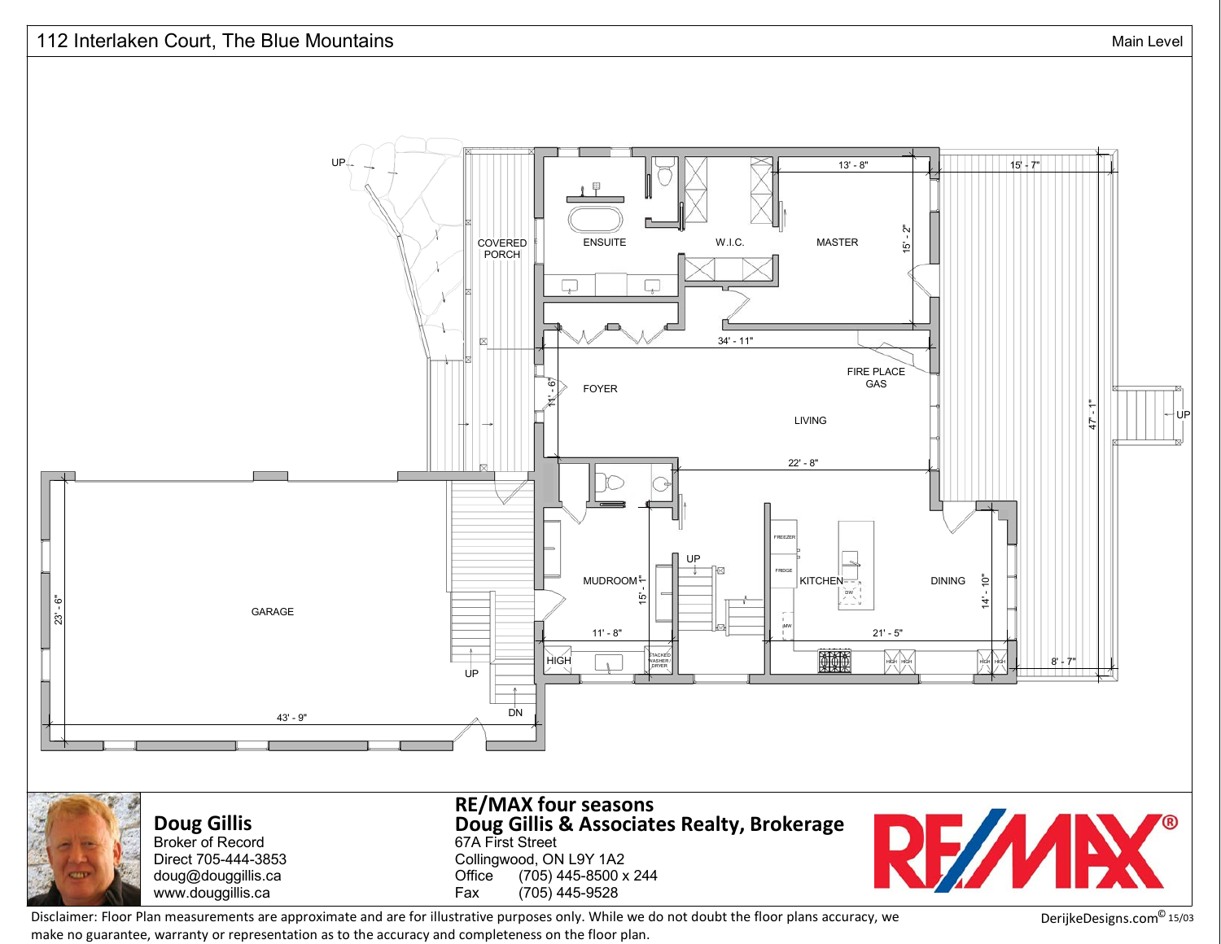

Disclaimer: Floor Plan measurements are approximate and are for illustrative purposes only. While we do not doubt the floor plans accuracy, we DerijkeDesigns.com<sup>©</sup> make no guarantee, warranty or representation as to the accuracy and completeness on the floor plan.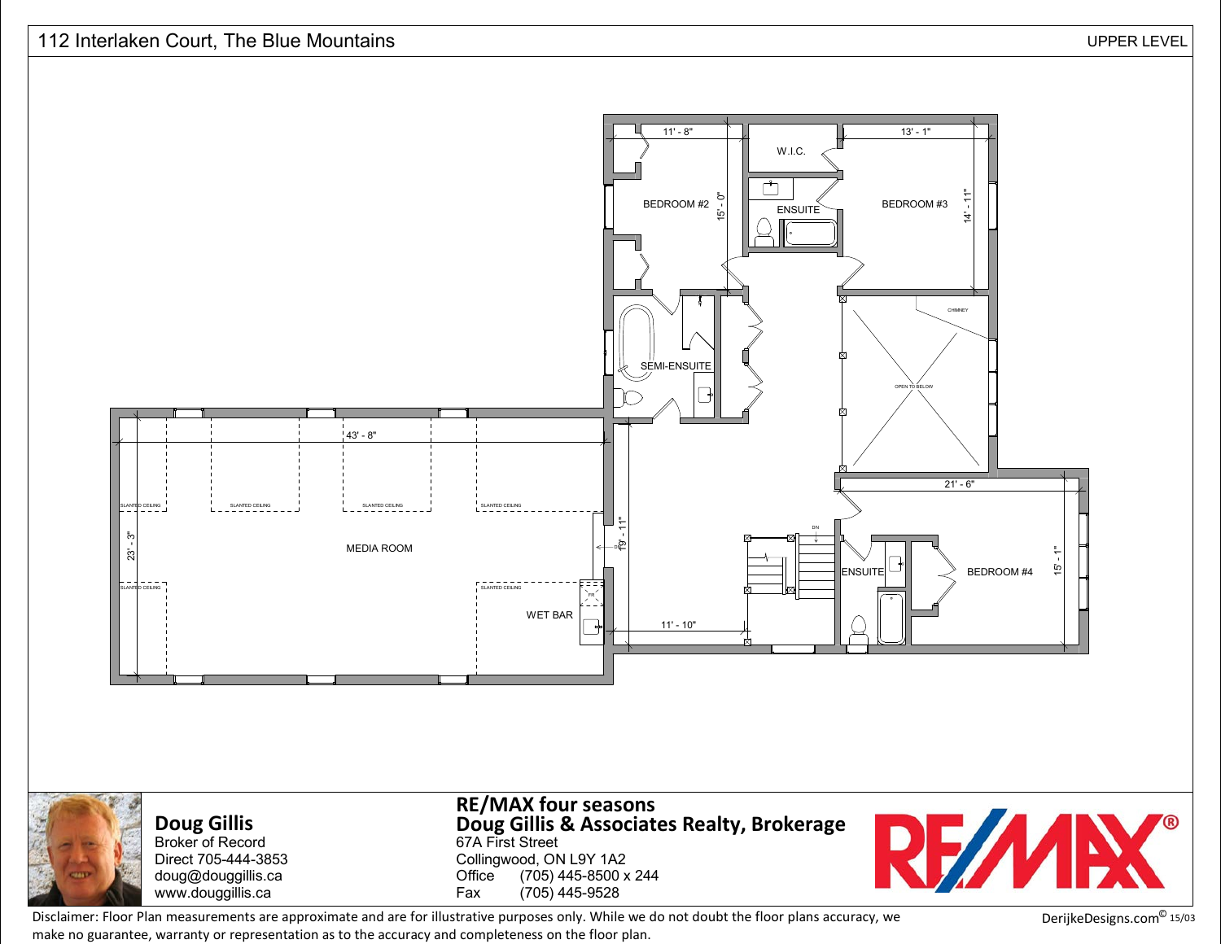



**Doug Gillis** Broker of Record Direct 705-444-3853 doug@douggillis.cawww.douggillis.ca

67A First Street Collingwood, ON L9Y 1A2e (705) 445-8500 x 244<br>(705) 445 9539 **Office** Fax (705) 445-9528 **Doug Gillis & Associates Realty, Brokerage RE/MAX four seasons**



Disclaimer: Floor Plan measurements are approximate and are for illustrative purposes only. While we do not doubt the floor plans accuracy, we DerijkeDesigns.com<sup>©</sup> make no guarantee, warranty or representation as to the accuracy and completeness on the floor plan.

DerijkeDesigns.com<sup>©</sup> 15/03